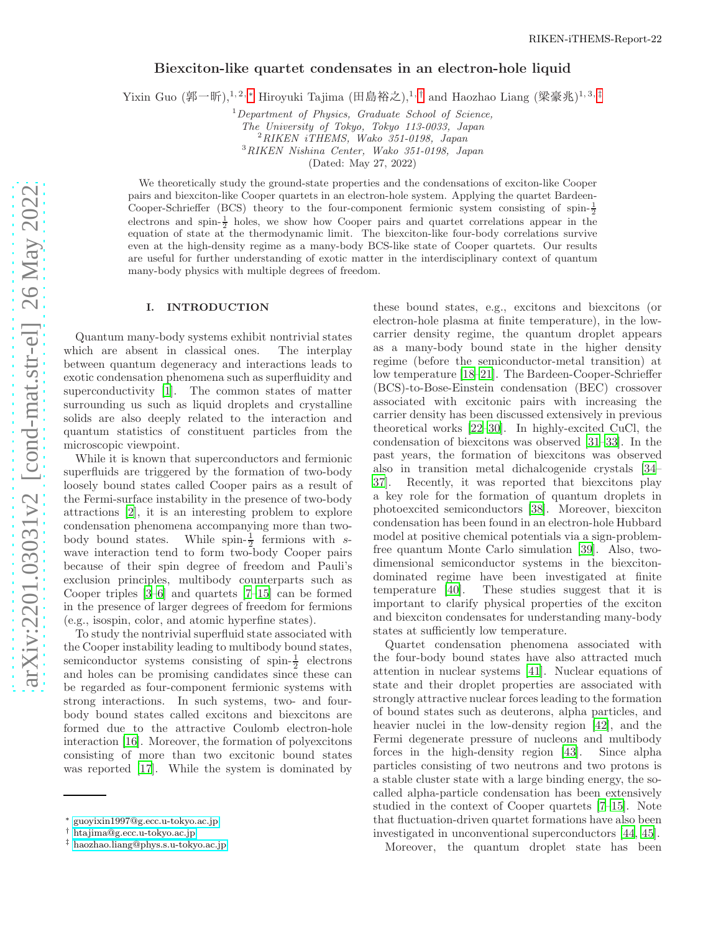## Biexciton-like quartet condensates in an electron-hole liquid

Yixin Guo (郭一昕),<sup>1,2,[∗](#page-0-0)</sup> Hiroyuki Tajima (田島裕之),<sup>1,[†](#page-0-1)</sup> and Haozhao Liang (梁豪兆)<sup>1,3,[‡](#page-0-2)</sup>

 $1$ Department of Physics, Graduate School of Science,

The University of Tokyo, Tokyo 113-0033, Japan

<sup>2</sup>RIKEN iTHEMS, Wako 351-0198, Japan

<sup>3</sup>RIKEN Nishina Center, Wako 351-0198, Japan

(Dated: May 27, 2022)

We theoretically study the ground-state properties and the condensations of exciton-like Cooper pairs and biexciton-like Cooper quartets in an electron-hole system. Applying the quartet Bardeen-Cooper-Schrieffer (BCS) theory to the four-component fermionic system consisting of spin- $\frac{1}{2}$ electrons and spin- $\frac{1}{2}$  holes, we show how Cooper pairs and quartet correlations appear in the equation of state at the thermodynamic limit. The biexciton-like four-body correlations survive even at the high-density regime as a many-body BCS-like state of Cooper quartets. Our results are useful for further understanding of exotic matter in the interdisciplinary context of quantum many-body physics with multiple degrees of freedom.

### I. INTRODUCTION

Quantum many-body systems exhibit nontrivial states which are absent in classical ones. The interplay between quantum degeneracy and interactions leads to exotic condensation phenomena such as superfluidity and superconductivity [\[1\]](#page-8-0). The common states of matter surrounding us such as liquid droplets and crystalline solids are also deeply related to the interaction and quantum statistics of constituent particles from the microscopic viewpoint.

While it is known that superconductors and fermionic superfluids are triggered by the formation of two-body loosely bound states called Cooper pairs as a result of the Fermi-surface instability in the presence of two-body attractions [\[2\]](#page-8-1), it is an interesting problem to explore condensation phenomena accompanying more than twobody bound states. While spin- $\frac{1}{2}$  fermions with swave interaction tend to form two-body Cooper pairs because of their spin degree of freedom and Pauli's exclusion principles, multibody counterparts such as Cooper triples [\[3](#page-8-2)[–6\]](#page-8-3) and quartets [\[7](#page-8-4)[–15\]](#page-8-5) can be formed in the presence of larger degrees of freedom for fermions (e.g., isospin, color, and atomic hyperfine states).

To study the nontrivial superfluid state associated with the Cooper instability leading to multibody bound states, semiconductor systems consisting of spin- $\frac{1}{2}$  electrons and holes can be promising candidates since these can be regarded as four-component fermionic systems with strong interactions. In such systems, two- and fourbody bound states called excitons and biexcitons are formed due to the attractive Coulomb electron-hole interaction [\[16\]](#page-8-6). Moreover, the formation of polyexcitons consisting of more than two excitonic bound states was reported [\[17\]](#page-8-7). While the system is dominated by

these bound states, e.g., excitons and biexcitons (or electron-hole plasma at finite temperature), in the lowcarrier density regime, the quantum droplet appears as a many-body bound state in the higher density regime (before the semiconductor-metal transition) at low temperature [\[18](#page-8-8)[–21](#page-8-9)]. The Bardeen-Cooper-Schrieffer (BCS)-to-Bose-Einstein condensation (BEC) crossover associated with excitonic pairs with increasing the carrier density has been discussed extensively in previous theoretical works [\[22](#page-8-10)[–30\]](#page-8-11). In highly-excited CuCl, the condensation of biexcitons was observed [\[31](#page-8-12)[–33\]](#page-9-0). In the past years, the formation of biexcitons was observed also in transition metal dichalcogenide crystals [\[34](#page-9-1)– [37](#page-9-2)]. Recently, it was reported that biexcitons play a key role for the formation of quantum droplets in photoexcited semiconductors [\[38](#page-9-3)]. Moreover, biexciton condensation has been found in an electron-hole Hubbard model at positive chemical potentials via a sign-problemfree quantum Monte Carlo simulation [\[39](#page-9-4)]. Also, twodimensional semiconductor systems in the biexcitondominated regime have been investigated at finite temperature [\[40\]](#page-9-5). These studies suggest that it is important to clarify physical properties of the exciton and biexciton condensates for understanding many-body states at sufficiently low temperature.

Quartet condensation phenomena associated with the four-body bound states have also attracted much attention in nuclear systems [\[41\]](#page-9-6). Nuclear equations of state and their droplet properties are associated with strongly attractive nuclear forces leading to the formation of bound states such as deuterons, alpha particles, and heavier nuclei in the low-density region [\[42\]](#page-9-7), and the Fermi degenerate pressure of nucleons and multibody forces in the high-density region [\[43](#page-9-8)]. Since alpha particles consisting of two neutrons and two protons is a stable cluster state with a large binding energy, the socalled alpha-particle condensation has been extensively studied in the context of Cooper quartets [\[7](#page-8-4)[–15](#page-8-5)]. Note that fluctuation-driven quartet formations have also been investigated in unconventional superconductors [\[44](#page-9-9), [45](#page-9-10)].

Moreover, the quantum droplet state has been

<span id="page-0-0"></span><sup>∗</sup> [guoyixin1997@g.ecc.u-tokyo.ac.jp](mailto:guoyixin1997@g.ecc.u-tokyo.ac.jp)

<span id="page-0-1"></span><sup>†</sup> [htajima@g.ecc.u-tokyo.ac.jp](mailto:htajima@g.ecc.u-tokyo.ac.jp)

<span id="page-0-2"></span><sup>‡</sup> [haozhao.liang@phys.s.u-tokyo.ac.jp](mailto:haozhao.liang@phys.s.u-tokyo.ac.jp)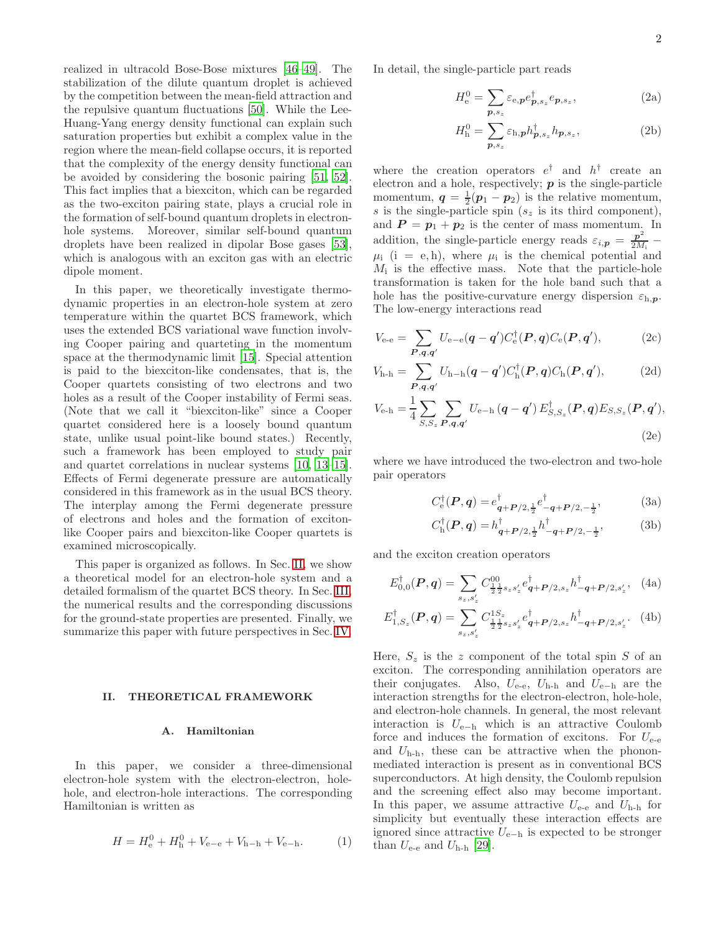realized in ultracold Bose-Bose mixtures [\[46](#page-9-11)[–49\]](#page-9-12). The stabilization of the dilute quantum droplet is achieved by the competition between the mean-field attraction and the repulsive quantum fluctuations [\[50](#page-9-13)]. While the Lee-Huang-Yang energy density functional can explain such saturation properties but exhibit a complex value in the region where the mean-field collapse occurs, it is reported that the complexity of the energy density functional can be avoided by considering the bosonic pairing [\[51,](#page-9-14) [52\]](#page-9-15). This fact implies that a biexciton, which can be regarded as the two-exciton pairing state, plays a crucial role in the formation of self-bound quantum droplets in electronhole systems. Moreover, similar self-bound quantum droplets have been realized in dipolar Bose gases [\[53\]](#page-9-16), which is analogous with an exciton gas with an electric dipole moment.

In this paper, we theoretically investigate thermodynamic properties in an electron-hole system at zero temperature within the quartet BCS framework, which uses the extended BCS variational wave function involving Cooper pairing and quarteting in the momentum space at the thermodynamic limit [\[15\]](#page-8-5). Special attention is paid to the biexciton-like condensates, that is, the Cooper quartets consisting of two electrons and two holes as a result of the Cooper instability of Fermi seas. (Note that we call it "biexciton-like" since a Cooper quartet considered here is a loosely bound quantum state, unlike usual point-like bound states.) Recently, such a framework has been employed to study pair and quartet correlations in nuclear systems [\[10,](#page-8-13) [13](#page-8-14)[–15\]](#page-8-5). Effects of Fermi degenerate pressure are automatically considered in this framework as in the usual BCS theory. The interplay among the Fermi degenerate pressure of electrons and holes and the formation of excitonlike Cooper pairs and biexciton-like Cooper quartets is examined microscopically.

This paper is organized as follows. In Sec. [II,](#page-1-0) we show a theoretical model for an electron-hole system and a detailed formalism of the quartet BCS theory. In Sec. [III,](#page-3-0) the numerical results and the corresponding discussions for the ground-state properties are presented. Finally, we summarize this paper with future perspectives in Sec. [IV.](#page-6-0)

#### <span id="page-1-0"></span>II. THEORETICAL FRAMEWORK

#### A. Hamiltonian

In this paper, we consider a three-dimensional electron-hole system with the electron-electron, holehole, and electron-hole interactions. The corresponding Hamiltonian is written as

$$
H = H_{\rm e}^{0} + H_{\rm h}^{0} + V_{\rm e-e} + V_{\rm h-h} + V_{\rm e-h}.
$$
 (1)

In detail, the single-particle part reads

$$
H_e^0 = \sum_{p,s_z} \varepsilon_{e,p} e_{p,s_z}^\dagger e_{p,s_z},\tag{2a}
$$

$$
H_{\mathbf{h}}^{0} = \sum_{\mathbf{p}, s_z} \varepsilon_{\mathbf{h},\mathbf{p}} h_{\mathbf{p},s_z}^{\dagger} h_{\mathbf{p},s_z}, \tag{2b}
$$

where the creation operators  $e^{\dagger}$  and  $h^{\dagger}$  create and electron and a hole, respectively;  $p$  is the single-particle momentum,  $q = \frac{1}{2}(p_1 - p_2)$  is the relative momentum, s is the single-particle spin  $(s_z)$  is its third component), and  $P = p_1 + p_2$  is the center of mass momentum. In addition, the single-particle energy reads  $\varepsilon_{i,p} = \frac{p^2}{2M}$  $\frac{1}{2M_i}$  –  $\mu_i$  (i = e, h), where  $\mu_i$  is the chemical potential and  $M_i$  is the effective mass. Note that the particle-hole transformation is taken for the hole band such that a hole has the positive-curvature energy dispersion  $\varepsilon_{h,p}$ . The low-energy interactions read

$$
V_{\text{e-e}} = \sum_{P,q,q'} U_{\text{e-e}}(q-q')C_{\text{e}}^{\dagger}(P,q)C_{\text{e}}(P,q'),\tag{2c}
$$

$$
V_{\mathrm{h}\text{-h}} = \sum_{\boldsymbol{P}, \boldsymbol{q}, \boldsymbol{q'}} U_{\mathrm{h}\text{-h}}(\boldsymbol{q} - \boldsymbol{q'}) C_{\mathrm{h}}^{\dagger}(\boldsymbol{P}, \boldsymbol{q}) C_{\mathrm{h}}(\boldsymbol{P}, \boldsymbol{q'}), \tag{2d}
$$

$$
V_{\rm e-h} = \frac{1}{4} \sum_{S,S_z} \sum_{P,q,q'} U_{\rm e-h} (q - q') E_{S,S_z}^{\dagger} (P,q) E_{S,S_z} (P,q'),
$$
\n(2e)

where we have introduced the two-electron and two-hole pair operators

$$
C_{\mathbf{e}}^{\dagger}(\boldsymbol{P}, \boldsymbol{q}) = e_{\boldsymbol{q} + \boldsymbol{P}/2, \frac{1}{2}}^{\dagger} e_{-\boldsymbol{q} + \boldsymbol{P}/2, -\frac{1}{2}}^{\dagger}, \tag{3a}
$$

$$
C_{\rm h}^{\dagger}(\boldsymbol{P}, \boldsymbol{q}) = h_{\boldsymbol{q} + \boldsymbol{P}/2, \frac{1}{2}}^{\dagger} h_{-\boldsymbol{q} + \boldsymbol{P}/2, -\frac{1}{2}}^{\dagger}, \tag{3b}
$$

and the exciton creation operators

$$
E_{0,0}^{\dagger}(\boldsymbol{P},\boldsymbol{q}) = \sum_{s_z,s_z'} C_{\frac{1}{2}\frac{1}{2}s_zs_z'}^{00} e_{\boldsymbol{q}+\boldsymbol{P}/2,s_z}^{\dagger} h_{-\boldsymbol{q}+\boldsymbol{P}/2,s_z'}^{\dagger}, \quad (4a)
$$

$$
E_{1,S_z}^{\dagger}(\boldsymbol{P}, \boldsymbol{q}) = \sum_{s_z, s_z'} C_{\frac{1}{2}\frac{1}{2}s_z s_z'}^{1S_z} e_{\boldsymbol{q}+\boldsymbol{P}/2, s_z}^{\dagger} h_{-\boldsymbol{q}+\boldsymbol{P}/2, s_z'}^{\dagger}.
$$
 (4b)

Here,  $S_z$  is the z component of the total spin S of an exciton. The corresponding annihilation operators are their conjugates. Also,  $U_{\text{e-e}}$ ,  $U_{\text{h-h}}$  and  $U_{\text{e-h}}$  are the interaction strengths for the electron-electron, hole-hole, and electron-hole channels. In general, the most relevant interaction is  $U_{e-h}$  which is an attractive Coulomb force and induces the formation of excitons. For  $U_{\text{e-e}}$ and  $U_{h-h}$ , these can be attractive when the phononmediated interaction is present as in conventional BCS superconductors. At high density, the Coulomb repulsion and the screening effect also may become important. In this paper, we assume attractive  $U_{\text{e-e}}$  and  $U_{\text{h-h}}$  for simplicity but eventually these interaction effects are ignored since attractive  $U_{e-h}$  is expected to be stronger than  $U_{\text{e-e}}$  and  $U_{\text{h-h}}$  [\[29\]](#page-8-15).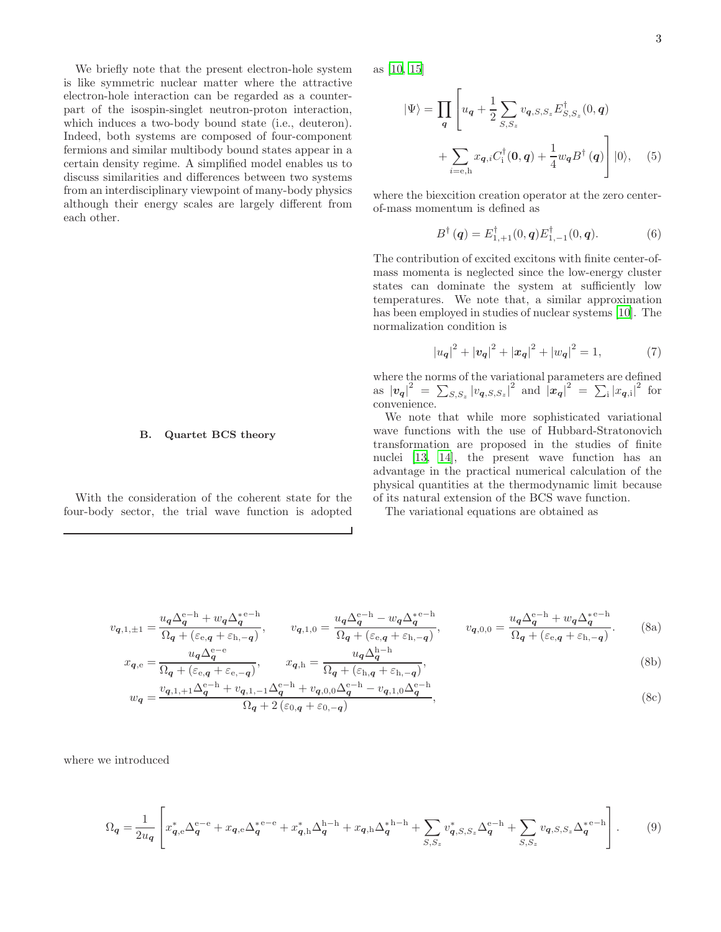We briefly note that the present electron-hole system is like symmetric nuclear matter where the attractive electron-hole interaction can be regarded as a counterpart of the isospin-singlet neutron-proton interaction, which induces a two-body bound state (i.e., deuteron). Indeed, both systems are composed of four-component fermions and similar multibody bound states appear in a certain density regime. A simplified model enables us to discuss similarities and differences between two systems from an interdisciplinary viewpoint of many-body physics although their energy scales are largely different from each other.

# B. Quartet BCS theory

With the consideration of the coherent state for the four-body sector, the trial wave function is adopted

as [\[10,](#page-8-13) [15](#page-8-5)]

$$
|\Psi\rangle = \prod_{\mathbf{q}} \left[ u_{\mathbf{q}} + \frac{1}{2} \sum_{S,S_z} v_{\mathbf{q},S,S_z} E_{S,S_z}^{\dagger}(0,\mathbf{q}) + \sum_{i=\text{e,h}} x_{\mathbf{q},i} C_i^{\dagger}(\mathbf{0},\mathbf{q}) + \frac{1}{4} w_{\mathbf{q}} B^{\dagger}(\mathbf{q}) \right] |0\rangle, \quad (5)
$$

where the biexcition creation operator at the zero centerof-mass momentum is defined as

$$
B^{\dagger}(\mathbf{q}) = E^{\dagger}_{1,+1}(0,\mathbf{q})E^{\dagger}_{1,-1}(0,\mathbf{q}). \tag{6}
$$

The contribution of excited excitons with finite center-ofmass momenta is neglected since the low-energy cluster states can dominate the system at sufficiently low temperatures. We note that, a similar approximation has been employed in studies of nuclear systems [\[10](#page-8-13)]. The normalization condition is

<span id="page-2-4"></span>
$$
|u_{\mathbf{q}}|^2 + |v_{\mathbf{q}}|^2 + |x_{\mathbf{q}}|^2 + |w_{\mathbf{q}}|^2 = 1, \tag{7}
$$

where the norms of the variational parameters are defined as  $|v_{\bm{q}}|^2 = \sum_{S,S_z} |v_{\bm{q},S,S_z}|^2$  and  $|\mathbf{x}_{\bm{q}}|^2 = \sum_i |x_{\bm{q},i}|^2$  for convenience.

We note that while more sophisticated variational wave functions with the use of Hubbard-Stratonovich transformation are proposed in the studies of finite nuclei [\[13,](#page-8-14) [14\]](#page-8-16), the present wave function has an advantage in the practical numerical calculation of the physical quantities at the thermodynamic limit because of its natural extension of the BCS wave function.

<span id="page-2-3"></span><span id="page-2-2"></span><span id="page-2-1"></span><span id="page-2-0"></span>The variational equations are obtained as

$$
v_{q,1,\pm 1} = \frac{u_q \Delta_q^{e-h} + w_q \Delta_q^{e-h}}{\Omega_q + (\varepsilon_{e,q} + \varepsilon_{h,-q})}, \qquad v_{q,1,0} = \frac{u_q \Delta_q^{e-h} - w_q \Delta_q^{e-h}}{\Omega_q + (\varepsilon_{e,q} + \varepsilon_{h,-q})}, \qquad v_{q,0,0} = \frac{u_q \Delta_q^{e-h} + w_q \Delta_q^{e-h}}{\Omega_q + (\varepsilon_{e,q} + \varepsilon_{h,-q})}.
$$
 (8a)

$$
x_{q,e} = \frac{u_q \Delta_q}{\Omega_q + (\varepsilon_{e,q} + \varepsilon_{e,-q})}, \qquad x_{q,h} = \frac{u_q \Delta_q^{\alpha}}{\Omega_q + (\varepsilon_{h,q} + \varepsilon_{h,-q})},\tag{8b}
$$

$$
w_{\mathbf{q}} = \frac{v_{\mathbf{q},1,+1}\Delta_{\mathbf{q}}^{\mathrm{e-h}} + v_{\mathbf{q},1,-1}\Delta_{\mathbf{q}}^{\mathrm{e-h}} + v_{\mathbf{q},0,0}\Delta_{\mathbf{q}}^{\mathrm{e-h}} - v_{\mathbf{q},1,0}\Delta_{\mathbf{q}}^{\mathrm{e-h}}}{\Omega_{\mathbf{q}} + 2\left(\varepsilon_{0,\mathbf{q}} + \varepsilon_{0,-\mathbf{q}}\right)},\tag{8c}
$$

where we introduced

$$
\Omega_{\mathbf{q}} = \frac{1}{2u_{\mathbf{q}}} \left[ x_{\mathbf{q},e}^{*} \Delta_{\mathbf{q}}^{e-e} + x_{\mathbf{q},e} \Delta_{\mathbf{q}}^{*e-e} + x_{\mathbf{q},h}^{*} \Delta_{\mathbf{q}}^{h-h} + x_{\mathbf{q},h} \Delta_{\mathbf{q}}^{*h-h} + \sum_{S,S_z} v_{\mathbf{q},S,S_z}^{*} \Delta_{\mathbf{q}}^{e-h} + \sum_{S,S_z} v_{\mathbf{q},S,S_z} \Delta_{\mathbf{q}}^{*e-h} \right].
$$
 (9)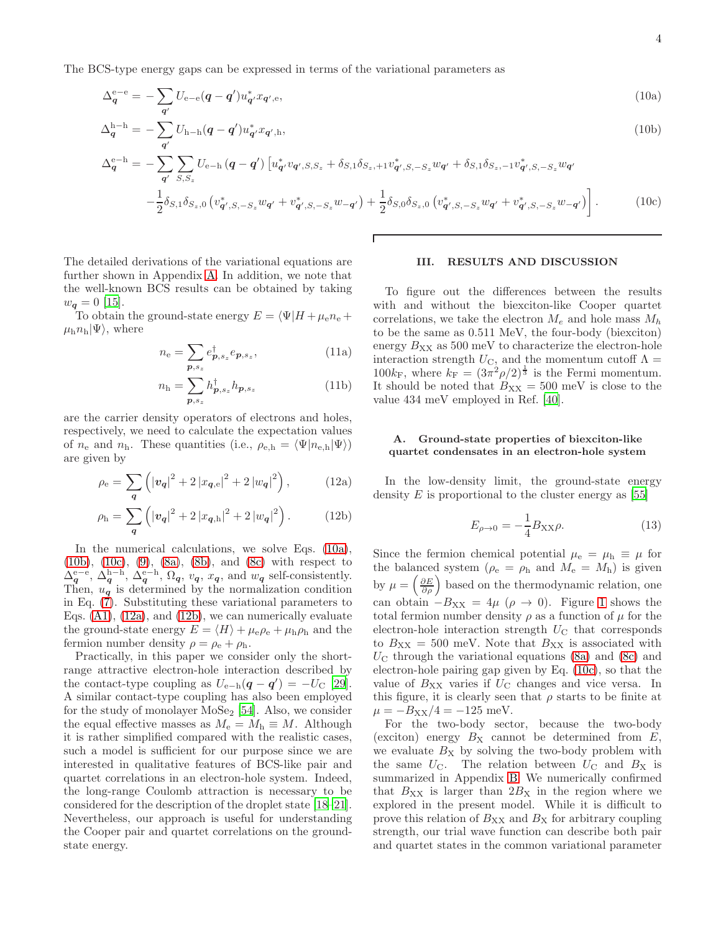The BCS-type energy gaps can be expressed in terms of the variational parameters as

$$
\Delta_q^{\rm e-e} = -\sum_{\mathbf{q}'} U_{\rm e-e}(\mathbf{q} - \mathbf{q}') u_{\mathbf{q}'}^* x_{\mathbf{q}',\rm e},\tag{10a}
$$

$$
\Delta_{\bm{q}}^{\mathrm{h-h}} = -\sum_{\bm{q}'} U_{\mathrm{h-h}}(\bm{q}-\bm{q}') u_{\bm{q}'}^* x_{\bm{q}',\mathrm{h}},\tag{10b}
$$

$$
\Delta_{\mathbf{q}}^{\text{e-h}} = -\sum_{\mathbf{q}'} \sum_{S,S_z} U_{\text{e-h}} \left( \mathbf{q} - \mathbf{q}' \right) \left[ u_{\mathbf{q}'}^* v_{\mathbf{q}'',S,S_z} + \delta_{S,1} \delta_{S_z,+1} v_{\mathbf{q}'',S,-S_z}^* w_{\mathbf{q}'} + \delta_{S,1} \delta_{S_z,-1} v_{\mathbf{q}'',S,-S_z}^* w_{\mathbf{q}'} - \frac{1}{2} \delta_{S,1} \delta_{S_z,0} \left( v_{\mathbf{q}'',S,-S_z}^* w_{\mathbf{q}'} + v_{\mathbf{q}'',S,-S_z}^* w_{-\mathbf{q}'} \right) + \frac{1}{2} \delta_{S,0} \delta_{S_z,0} \left( v_{\mathbf{q}'',S,-S_z}^* w_{\mathbf{q}'} + v_{\mathbf{q}'',S,-S_z}^* w_{-\mathbf{q}'} \right) \right]. \tag{10c}
$$

The detailed derivations of the variational equations are further shown in Appendix [A.](#page-7-0) In addition, we note that the well-known BCS results can be obtained by taking  $w_{\mathbf{q}} = 0$  [\[15\]](#page-8-5).

To obtain the ground-state energy  $E = \langle \Psi | H + \mu_{e} n_{e} +$  $\mu_{\rm h}n_{\rm h}|\Psi\rangle$ , where

$$
n_{\mathbf{e}} = \sum_{\boldsymbol{p}, s_z} e_{\boldsymbol{p}, s_z}^{\dagger} e_{\boldsymbol{p}, s_z}, \tag{11a}
$$

$$
n_{\mathbf{h}} = \sum_{\mathbf{p}, s_z} h_{\mathbf{p}, s_z}^{\dagger} h_{\mathbf{p}, s_z}
$$
 (11b)

are the carrier density operators of electrons and holes, respectively, we need to calculate the expectation values of  $n_e$  and  $n_h$ . These quantities (i.e.,  $\rho_{e,h} = \langle \Psi | n_{e,h} | \Psi \rangle$ ) are given by

$$
\rho_{\rm e} = \sum_{\mathbf{q}} \left( \left| v_{\mathbf{q}} \right|^2 + 2 \left| x_{\mathbf{q},\rm e} \right|^2 + 2 \left| w_{\mathbf{q}} \right|^2 \right), \tag{12a}
$$

$$
\rho_{\rm h} = \sum_{\bf q} \left( |v_{\bf q}|^2 + 2 |x_{\bf q, h}|^2 + 2 |w_{\bf q}|^2 \right). \tag{12b}
$$

In the numerical calculations, we solve Eqs.  $(10a)$ , [\(10b\)](#page-3-2), [\(10c\)](#page-3-3), [\(9\)](#page-2-0), [\(8a\)](#page-2-1), [\(8b\)](#page-2-2), and [\(8c\)](#page-2-3) with respect to  $\Delta_q^{\text{e-e}}, \Delta_q^{\text{h-h}}, \Delta_q^{\text{e-h}}, \Omega_q, v_q, x_q$ , and  $w_q$  self-consistently. Then,  $u_q$  is determined by the normalization condition in Eq. [\(7\)](#page-2-4). Substituting these variational parameters to Eqs.  $(A1)$ ,  $(12a)$ , and  $(12b)$ , we can numerically evaluate the ground-state energy  $E = \langle H \rangle + \mu_{\rm e} \rho_{\rm e} + \mu_{\rm h} \rho_{\rm h}$  and the fermion number density  $\rho = \rho_{\rm e} + \rho_{\rm h}$ .

Practically, in this paper we consider only the shortrange attractive electron-hole interaction described by the contact-type coupling as  $U_{e-h}(q - q') = -U_C$  [\[29\]](#page-8-15). A similar contact-type coupling has also been employed for the study of monolayer  $MoSe_2$  [\[54\]](#page-9-17). Also, we consider the equal effective masses as  $M_e = M_h \equiv M$ . Although it is rather simplified compared with the realistic cases, such a model is sufficient for our purpose since we are interested in qualitative features of BCS-like pair and quartet correlations in an electron-hole system. Indeed, the long-range Coulomb attraction is necessary to be considered for the description of the droplet state [\[18](#page-8-8)[–21\]](#page-8-9). Nevertheless, our approach is useful for understanding the Cooper pair and quartet correlations on the groundstate energy.

#### <span id="page-3-3"></span><span id="page-3-2"></span><span id="page-3-1"></span><span id="page-3-0"></span>III. RESULTS AND DISCUSSION

To figure out the differences between the results with and without the biexciton-like Cooper quartet correlations, we take the electron  $M_e$  and hole mass  $M_h$ to be the same as 0.511 MeV, the four-body (biexciton) energy  $B_{XX}$  as 500 meV to characterize the electron-hole interaction strength  $U_{\text{C}}$ , and the momentum cutoff  $\Lambda =$  $100k_F$ , where  $k_F = (3\pi^2\rho/2)^{\frac{1}{3}}$  is the Fermi momentum. It should be noted that  $B_{\text{XX}} = 500 \text{ meV}$  is close to the value 434 meV employed in Ref. [\[40\]](#page-9-5).

## A. Ground-state properties of biexciton-like quartet condensates in an electron-hole system

<span id="page-3-5"></span><span id="page-3-4"></span>In the low-density limit, the ground-state energy density  $E$  is proportional to the cluster energy as [\[55](#page-9-18)]

<span id="page-3-6"></span>
$$
E_{\rho \to 0} = -\frac{1}{4} B_{\rm XX} \rho. \tag{13}
$$

Since the fermion chemical potential  $\mu_{\rm e} = \mu_{\rm h} \equiv \mu$  for the balanced system ( $\rho_e = \rho_h$  and  $M_e = M_h$ ) is given by  $\mu = \left(\frac{\partial E}{\partial \rho}\right)$  based on the thermodynamic relation, one can obtain  $-B_{XX} = 4\mu$  ( $\rho \rightarrow 0$ ). Figure [1](#page-4-0) shows the total fermion number density  $\rho$  as a function of  $\mu$  for the electron-hole interaction strength  $U_{\rm C}$  that corresponds to  $B_{XX} = 500$  meV. Note that  $B_{XX}$  is associated with  $U_{\rm C}$  through the variational equations [\(8a\)](#page-2-1) and [\(8c\)](#page-2-3) and electron-hole pairing gap given by Eq. [\(10c\)](#page-3-3), so that the value of  $B_{XX}$  varies if  $U_{\rm C}$  changes and vice versa. In this figure, it is clearly seen that  $\rho$  starts to be finite at  $\mu = -B_{XX}/4 = -125$  meV.

For the two-body sector, because the two-body (exciton) energy  $B_X$  cannot be determined from  $E$ , we evaluate  $B_X$  by solving the two-body problem with the same  $U_{\text{C}}$ . The relation between  $U_{\text{C}}$  and  $B_{\text{X}}$  is summarized in Appendix [B.](#page-7-2) We numerically confirmed that  $B_{XX}$  is larger than  $2B_X$  in the region where we explored in the present model. While it is difficult to prove this relation of  $B_{XX}$  and  $B_X$  for arbitrary coupling strength, our trial wave function can describe both pair and quartet states in the common variational parameter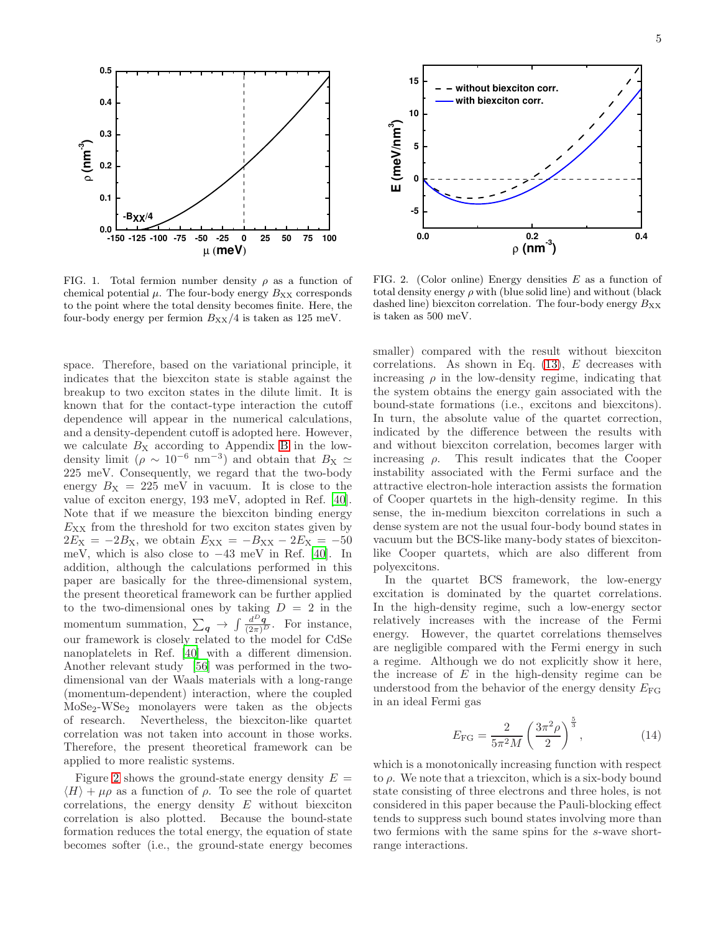

<span id="page-4-0"></span>FIG. 1. Total fermion number density  $\rho$  as a function of chemical potential  $\mu$ . The four-body energy  $B_{XX}$  corresponds to the point where the total density becomes finite. Here, the four-body energy per fermion  $B_{XX}/4$  is taken as 125 meV.

space. Therefore, based on the variational principle, it indicates that the biexciton state is stable against the breakup to two exciton states in the dilute limit. It is known that for the contact-type interaction the cutoff dependence will appear in the numerical calculations, and a density-dependent cutoff is adopted here. However, we calculate  $B_X$  $B_X$  according to Appendix B in the lowdensity limit ( $\rho \sim 10^{-6}$  nm<sup>-3</sup>) and obtain that  $B_{\text{X}} \simeq$ 225 meV. Consequently, we regard that the two-body energy  $B_x = 225$  meV in vacuum. It is close to the value of exciton energy, 193 meV, adopted in Ref. [\[40\]](#page-9-5). Note that if we measure the biexciton binding energy  $E_{XX}$  from the threshold for two exciton states given by  $2E_X = -2B_X$ , we obtain  $E_{XX} = -B_{XX} - 2E_X = -50$ meV, which is also close to −43 meV in Ref. [\[40\]](#page-9-5). In addition, although the calculations performed in this paper are basically for the three-dimensional system, the present theoretical framework can be further applied to the two-dimensional ones by taking  $D = 2$  in the momentum summation,  $\sum_{q} \rightarrow \int \frac{d^{D}q}{(2\pi)^{D}}$ . For instance, our framework is closely related to the model for CdSe nanoplatelets in Ref. [\[40](#page-9-5)] with a different dimension. Another relevant study [\[56](#page-9-19)] was performed in the twodimensional van der Waals materials with a long-range (momentum-dependent) interaction, where the coupled MoSe2-WSe<sup>2</sup> monolayers were taken as the objects of research. Nevertheless, the biexciton-like quartet correlation was not taken into account in those works. Therefore, the present theoretical framework can be applied to more realistic systems.

Figure [2](#page-4-1) shows the ground-state energy density  $E =$  $\langle H \rangle + \mu \rho$  as a function of  $\rho$ . To see the role of quartet correlations, the energy density  $E$  without biexciton correlation is also plotted. Because the bound-state formation reduces the total energy, the equation of state becomes softer (i.e., the ground-state energy becomes



<span id="page-4-1"></span>FIG. 2. (Color online) Energy densities  $E$  as a function of total density energy  $\rho$  with (blue solid line) and without (black dashed line) biexciton correlation. The four-body energy  $B_{XX}$ is taken as 500 meV.

smaller) compared with the result without biexciton correlations. As shown in Eq.  $(13)$ , E decreases with increasing  $\rho$  in the low-density regime, indicating that the system obtains the energy gain associated with the bound-state formations (i.e., excitons and biexcitons). In turn, the absolute value of the quartet correction, indicated by the difference between the results with and without biexciton correlation, becomes larger with increasing  $\rho$ . This result indicates that the Cooper instability associated with the Fermi surface and the attractive electron-hole interaction assists the formation of Cooper quartets in the high-density regime. In this sense, the in-medium biexciton correlations in such a dense system are not the usual four-body bound states in vacuum but the BCS-like many-body states of biexcitonlike Cooper quartets, which are also different from polyexcitons.

In the quartet BCS framework, the low-energy excitation is dominated by the quartet correlations. In the high-density regime, such a low-energy sector relatively increases with the increase of the Fermi energy. However, the quartet correlations themselves are negligible compared with the Fermi energy in such a regime. Although we do not explicitly show it here, the increase of  $E$  in the high-density regime can be understood from the behavior of the energy density  $E_{\text{FG}}$ in an ideal Fermi gas

$$
E_{\rm FG} = \frac{2}{5\pi^2 M} \left(\frac{3\pi^2 \rho}{2}\right)^{\frac{5}{3}},\tag{14}
$$

which is a monotonically increasing function with respect to  $\rho$ . We note that a triexciton, which is a six-body bound state consisting of three electrons and three holes, is not considered in this paper because the Pauli-blocking effect tends to suppress such bound states involving more than two fermions with the same spins for the s-wave shortrange interactions.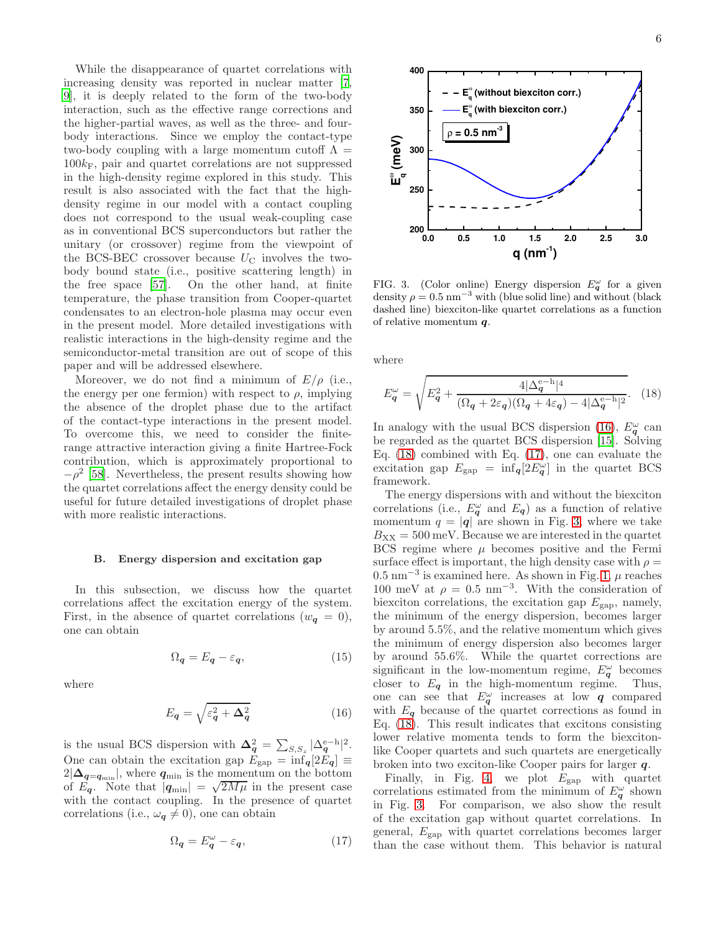While the disappearance of quartet correlations with increasing density was reported in nuclear matter [\[7](#page-8-4), [9](#page-8-17)], it is deeply related to the form of the two-body interaction, such as the effective range corrections and the higher-partial waves, as well as the three- and fourbody interactions. Since we employ the contact-type two-body coupling with a large momentum cutoff  $\Lambda =$  $100k_F$ , pair and quartet correlations are not suppressed in the high-density regime explored in this study. This result is also associated with the fact that the highdensity regime in our model with a contact coupling does not correspond to the usual weak-coupling case as in conventional BCS superconductors but rather the unitary (or crossover) regime from the viewpoint of the BCS-BEC crossover because  $U_{\rm C}$  involves the twobody bound state (i.e., positive scattering length) in the free space [\[57\]](#page-9-20). On the other hand, at finite temperature, the phase transition from Cooper-quartet condensates to an electron-hole plasma may occur even in the present model. More detailed investigations with realistic interactions in the high-density regime and the semiconductor-metal transition are out of scope of this paper and will be addressed elsewhere.

Moreover, we do not find a minimum of  $E/\rho$  (i.e., the energy per one fermion) with respect to  $\rho$ , implying the absence of the droplet phase due to the artifact of the contact-type interactions in the present model. To overcome this, we need to consider the finiterange attractive interaction giving a finite Hartree-Fock contribution, which is approximately proportional to  $-\rho^2$  [\[58\]](#page-9-21). Nevertheless, the present results showing how the quartet correlations affect the energy density could be useful for future detailed investigations of droplet phase with more realistic interactions.

#### B. Energy dispersion and excitation gap

In this subsection, we discuss how the quartet correlations affect the excitation energy of the system. First, in the absence of quartet correlations  $(w_{q} = 0)$ , one can obtain

$$
\Omega_{\mathbf{q}} = E_{\mathbf{q}} - \varepsilon_{\mathbf{q}},\tag{15}
$$

where

$$
E_{\mathbf{q}} = \sqrt{\varepsilon_{\mathbf{q}}^2 + \Delta_{\mathbf{q}}^2} \tag{16}
$$

is the usual BCS dispersion with  $\Delta_q^2 = \sum_{S,S_z} |\Delta_q^{e-h}|^2$ . One can obtain the excitation gap  $E_{\text{gap}} = \inf_{q} [2E_q] \equiv$  $2|\Delta_{\mathbf{q}=\mathbf{q}_{\min}}|$ , where  $\mathbf{q}_{\min}$  is the momentum on the bottom of  $E_q$ . Note that  $|q_{\text{min}}| = \sqrt{2M\mu}$  in the present case with the contact coupling. In the presence of quartet correlations (i.e.,  $\omega_q \neq 0$ ), one can obtain

$$
\Omega_{\mathbf{q}} = E_{\mathbf{q}}^{\omega} - \varepsilon_{\mathbf{q}},\tag{17}
$$



<span id="page-5-3"></span>FIG. 3. (Color online) Energy dispersion  $E_q^{\omega}$  for a given density  $\rho = 0.5 \text{ nm}^{-3}$  with (blue solid line) and without (black dashed line) biexciton-like quartet correlations as a function of relative momentum q.

where

<span id="page-5-1"></span>
$$
E_q^{\omega} = \sqrt{E_q^2 + \frac{4|\Delta_q^{e-h}|^4}{(\Omega_q + 2\varepsilon_q)(\Omega_q + 4\varepsilon_q) - 4|\Delta_q^{e-h}|^2}}.
$$
 (18)

In analogy with the usual BCS dispersion [\(16\)](#page-5-0),  $E^{\omega}_{q}$  can be regarded as the quartet BCS dispersion [\[15\]](#page-8-5). Solving Eq. [\(18\)](#page-5-1) combined with Eq. [\(17\)](#page-5-2), one can evaluate the excitation gap  $E_{\text{gap}} = \inf_{q} [2E_q^{\omega}]$  in the quartet BCS framework.

The energy dispersions with and without the biexciton correlations (i.e.,  $E_q^{\omega}$  and  $E_q$ ) as a function of relative momentum  $q = |q|$  are shown in Fig. [3,](#page-5-3) where we take  $B_{XX} = 500$  meV. Because we are interested in the quartet BCS regime where  $\mu$  becomes positive and the Fermi surface effect is important, the high density case with  $\rho =$  $0.5~\mathrm{nm}^{-3}$  is examined here. As shown in Fig. [1,](#page-4-0)  $\mu$  reaches 100 meV at  $\rho = 0.5$  nm<sup>-3</sup>. With the consideration of biexciton correlations, the excitation gap  $E_{\text{gap}}$ , namely, the minimum of the energy dispersion, becomes larger by around 5.5%, and the relative momentum which gives the minimum of energy dispersion also becomes larger by around 55.6%. While the quartet corrections are significant in the low-momentum regime,  $E_q^{\omega}$  becomes closer to  $E_q$  in the high-momentum regime. Thus, one can see that  $E_{q}^{\omega}$  increases at low q compared with  $E_q$  because of the quartet corrections as found in Eq. [\(18\)](#page-5-1). This result indicates that excitons consisting lower relative momenta tends to form the biexcitonlike Cooper quartets and such quartets are energetically broken into two exciton-like Cooper pairs for larger q.

<span id="page-5-2"></span><span id="page-5-0"></span>Finally, in Fig. [4,](#page-6-1) we plot  $E_{\text{gap}}$  with quartet correlations estimated from the minimum of  $E_q^{\omega}$  shown in Fig. [3.](#page-5-3) For comparison, we also show the result of the excitation gap without quartet correlations. In general,  $E_{\text{gap}}$  with quartet correlations becomes larger than the case without them. This behavior is natural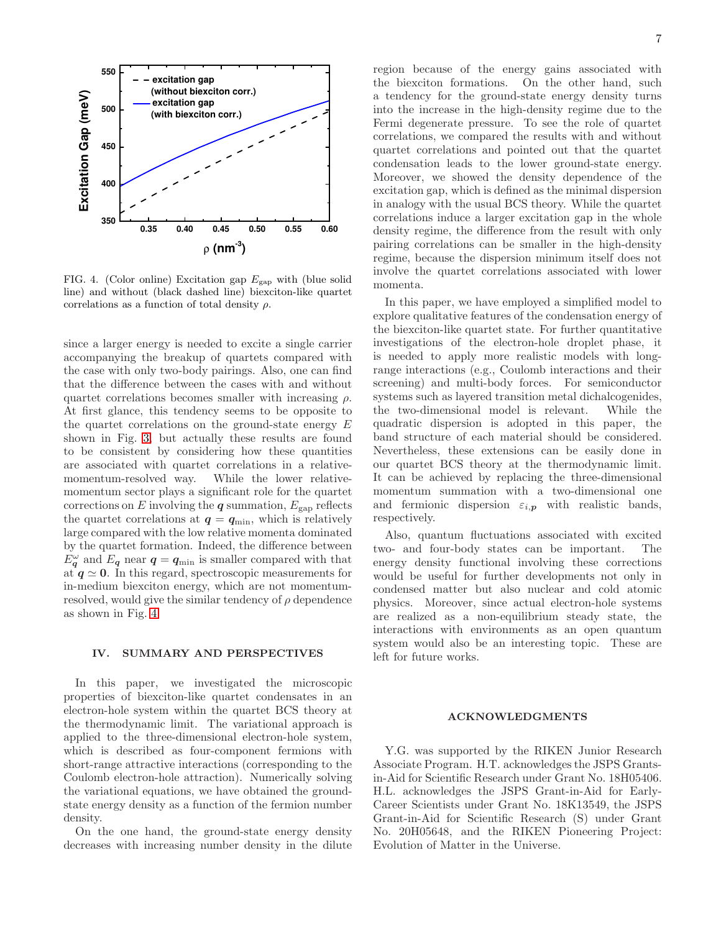

<span id="page-6-1"></span>FIG. 4. (Color online) Excitation gap  $E_{\text{gap}}$  with (blue solid line) and without (black dashed line) biexciton-like quartet correlations as a function of total density  $\rho$ .

since a larger energy is needed to excite a single carrier accompanying the breakup of quartets compared with the case with only two-body pairings. Also, one can find that the difference between the cases with and without quartet correlations becomes smaller with increasing  $\rho$ . At first glance, this tendency seems to be opposite to the quartet correlations on the ground-state energy  $E$ shown in Fig. [3,](#page-5-3) but actually these results are found to be consistent by considering how these quantities are associated with quartet correlations in a relativemomentum-resolved way. While the lower relativemomentum sector plays a significant role for the quartet corrections on E involving the  $q$  summation,  $E_{\text{gap}}$  reflects the quartet correlations at  $q = q_{\min}$ , which is relatively large compared with the low relative momenta dominated by the quartet formation. Indeed, the difference between  $E_q^{\omega}$  and  $E_q$  near  $q = q_{\text{min}}$  is smaller compared with that at  $q \approx 0$ . In this regard, spectroscopic measurements for in-medium biexciton energy, which are not momentumresolved, would give the similar tendency of  $\rho$  dependence as shown in Fig. [4.](#page-6-1)

### <span id="page-6-0"></span>IV. SUMMARY AND PERSPECTIVES

In this paper, we investigated the microscopic properties of biexciton-like quartet condensates in an electron-hole system within the quartet BCS theory at the thermodynamic limit. The variational approach is applied to the three-dimensional electron-hole system, which is described as four-component fermions with short-range attractive interactions (corresponding to the Coulomb electron-hole attraction). Numerically solving the variational equations, we have obtained the groundstate energy density as a function of the fermion number density.

On the one hand, the ground-state energy density decreases with increasing number density in the dilute region because of the energy gains associated with the biexciton formations. On the other hand, such a tendency for the ground-state energy density turns into the increase in the high-density regime due to the Fermi degenerate pressure. To see the role of quartet correlations, we compared the results with and without quartet correlations and pointed out that the quartet condensation leads to the lower ground-state energy. Moreover, we showed the density dependence of the excitation gap, which is defined as the minimal dispersion in analogy with the usual BCS theory. While the quartet correlations induce a larger excitation gap in the whole density regime, the difference from the result with only pairing correlations can be smaller in the high-density regime, because the dispersion minimum itself does not involve the quartet correlations associated with lower momenta.

In this paper, we have employed a simplified model to explore qualitative features of the condensation energy of the biexciton-like quartet state. For further quantitative investigations of the electron-hole droplet phase, it is needed to apply more realistic models with longrange interactions (e.g., Coulomb interactions and their screening) and multi-body forces. For semiconductor systems such as layered transition metal dichalcogenides, the two-dimensional model is relevant. While the quadratic dispersion is adopted in this paper, the band structure of each material should be considered. Nevertheless, these extensions can be easily done in our quartet BCS theory at the thermodynamic limit. It can be achieved by replacing the three-dimensional momentum summation with a two-dimensional one and fermionic dispersion  $\varepsilon_{i,p}$  with realistic bands, respectively.

Also, quantum fluctuations associated with excited two- and four-body states can be important. The energy density functional involving these corrections would be useful for further developments not only in condensed matter but also nuclear and cold atomic physics. Moreover, since actual electron-hole systems are realized as a non-equilibrium steady state, the interactions with environments as an open quantum system would also be an interesting topic. These are left for future works.

#### ACKNOWLEDGMENTS

Y.G. was supported by the RIKEN Junior Research Associate Program. H.T. acknowledges the JSPS Grantsin-Aid for Scientific Research under Grant No. 18H05406. H.L. acknowledges the JSPS Grant-in-Aid for Early-Career Scientists under Grant No. 18K13549, the JSPS Grant-in-Aid for Scientific Research (S) under Grant No. 20H05648, and the RIKEN Pioneering Project: Evolution of Matter in the Universe.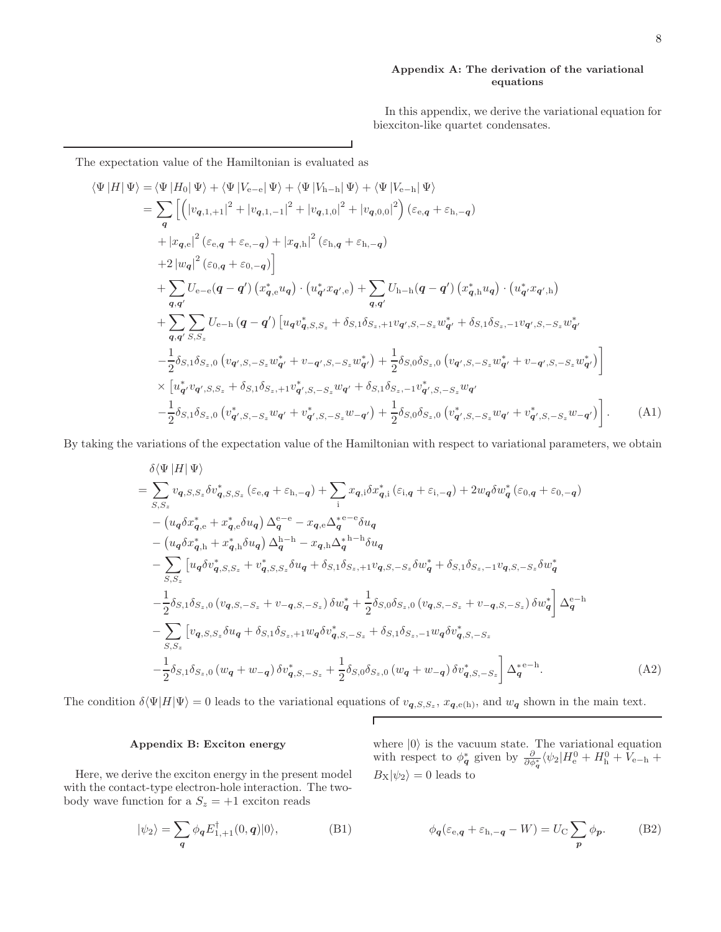### <span id="page-7-0"></span>Appendix A: The derivation of the variational equations

<span id="page-7-1"></span>In this appendix, we derive the variational equation for biexciton-like quartet condensates.

The expectation value of the Hamiltonian is evaluated as

$$
\langle \Psi | H | \Psi \rangle = \langle \Psi | H_0 | \Psi \rangle + \langle \Psi | V_{e-e} | \Psi \rangle + \langle \Psi | V_{h-h} | \Psi \rangle + \langle \Psi | V_{e-h} | \Psi \rangle \n= \sum_{q} \left[ \left( |v_{q,1,+1}|^2 + |v_{q,1,-1}|^2 + |v_{q,1,0}|^2 + |v_{q,0,0}|^2 \right) (\varepsilon_{e,q} + \varepsilon_{h,-q}) \n+ |x_{q,e}|^2 (\varepsilon_{e,q} + \varepsilon_{e,-q}) + |x_{q,h}|^2 (\varepsilon_{h,q} + \varepsilon_{h,-q}) \n+ 2 |w_{q}|^2 (\varepsilon_{0,q} + \varepsilon_{0,-q}) \right] \n+ \sum_{q,q'} U_{e-e}(q-q') (x_{q,e}^* u_q) \cdot (u_{q'}^* x_{q',e}) + \sum_{q,q'} U_{h-h}(q-q') (x_{q,h}^* u_q) \cdot (u_{q'}^* x_{q',h}) \n+ \sum_{q,q'} \sum_{S,S_z} U_{e-h}(q-q') [u_{q} v_{q,S,S_z}^* + \delta_{S,1} \delta_{S_z,+1} v_{q',S,-S_z} w_{q'}^* + \delta_{S,1} \delta_{S_z,-1} v_{q',S,-S_z} w_{q'}^* \n- \frac{1}{2} \delta_{S,1} \delta_{S_z,0} (v_{q',S,-S_z} w_{q'}^* + v_{-q',S,-S_z} w_{q'}^*) + \frac{1}{2} \delta_{S,0} \delta_{S_z,0} (v_{q',S,-S_z} w_{q'}^* + v_{-q',S,-S_z} w_{q'}^*) \right] \n\times [u_{q'}^* v_{q',S,S_z} + \delta_{S,1} \delta_{S_z,+1} v_{q',S,-S_z}^* w_{q'} + \delta_{S,1} \delta_{S_z,-1} v_{q',S,-S_z}^* w_{q'} - \frac{1}{2} \delta_{S,1} \delta_{S_z,0} (v_{q',S,-S_z}^* w_{q'} + v_{q',S,-S_z}^* w_{q'} + v_{q',S,-S_z}^* w_{q'} + v_{q',S,-S_z}^* w_{q'} + v_{q',S,-S_z}^* w_{q'} + v_{q',S,-S_z}^* w_{q'} )
$$

By taking the variations of the expectation value of the Hamiltonian with respect to variational parameters, we obtain

$$
\delta \langle \Psi | H | \Psi \rangle
$$
\n
$$
= \sum_{S,S_z} v_{q,S,S_z} \delta v_{q,S,S_z}^* (\varepsilon_{e,q} + \varepsilon_{h,-q}) + \sum_i x_{q,i} \delta x_{q,i}^* (\varepsilon_{i,q} + \varepsilon_{i,-q}) + 2w_q \delta w_q^* (\varepsilon_{0,q} + \varepsilon_{0,-q})
$$
\n
$$
- (u_q \delta x_{q,e}^* + x_{q,e}^* \delta u_q) \Delta_q^{e-e} - x_{q,e} \Delta_q^{e-e} \delta u_q
$$
\n
$$
- (u_q \delta x_{q,h}^* + x_{q,h}^* \delta u_q) \Delta_q^{h-h} - x_{q,h} \Delta_q^{h-h} \delta u_q
$$
\n
$$
- \sum_{S,S_z} [u_q \delta v_{q,S,S_z}^* + v_{q,S,S_z}^* \delta u_q + \delta_{S,1} \delta_{S_z,+1} v_{q,S,-S_z} \delta w_q^* + \delta_{S,1} \delta_{S_z,-1} v_{q,S,-S_z} \delta w_q^* - \frac{1}{2} \delta_{S,1} \delta_{S_z,0} (v_{q,S,-S_z} + v_{-q,S,-S_z}) \delta w_q^* + \frac{1}{2} \delta_{S,0} \delta_{S_z,0} (v_{q,S,-S_z} + v_{-q,S,-S_z}) \delta w_q^* \Delta_q^{e-h}
$$
\n
$$
- \sum_{S,S_z} [v_{q,S,S_z} \delta u_q + \delta_{S,1} \delta_{S_z,+1} w_q \delta v_{q,S,-S_z}^* + \delta_{S,1} \delta_{S_z,-1} w_q \delta v_{q,S,-S_z}^* - \frac{1}{2} \delta_{S,1} \delta_{S_z,0} (w_q + w_{-q}) \delta v_q^*_{S,-S_z} + \frac{1}{2} \delta_{S,0} \delta_{S_z,0} (w_q + w_{-q}) \delta v_q^*_{S,-S_z} \Delta_q^{e-h}.
$$
\n(A2)

The condition  $\delta \langle \Psi | H | \Psi \rangle = 0$  leads to the variational equations of  $v_{q,S,S_z}$ ,  $x_{q,e(h)}$ , and  $w_q$  shown in the main text.

 $\Gamma$ 

# <span id="page-7-2"></span>Appendix B: Exciton energy

Here, we derive the exciton energy in the present model with the contact-type electron-hole interaction. The twobody wave function for a  $S_z = +1$  exciton reads

$$
|\psi_2\rangle = \sum_{\mathbf{q}} \phi_{\mathbf{q}} E_{1,+1}^{\dagger}(0,\mathbf{q})|0\rangle, \tag{B1}
$$

where  $|0\rangle$  is the vacuum state. The variational equation with respect to  $\phi_{\bf q}^*$  given by  $\frac{\partial}{\partial \phi_{\bf q}^*} \langle \psi_2 | H_e^0 + H_h^0 + V_{\rm e-h} +$  $B_{\text{X}}|\psi_2\rangle = 0$  leads to

<span id="page-7-3"></span>
$$
\phi_{\mathbf{q}}(\varepsilon_{\mathbf{e},\mathbf{q}} + \varepsilon_{\mathbf{h},-\mathbf{q}} - W) = U_{\mathbf{C}} \sum_{\mathbf{p}} \phi_{\mathbf{p}}.
$$
 (B2)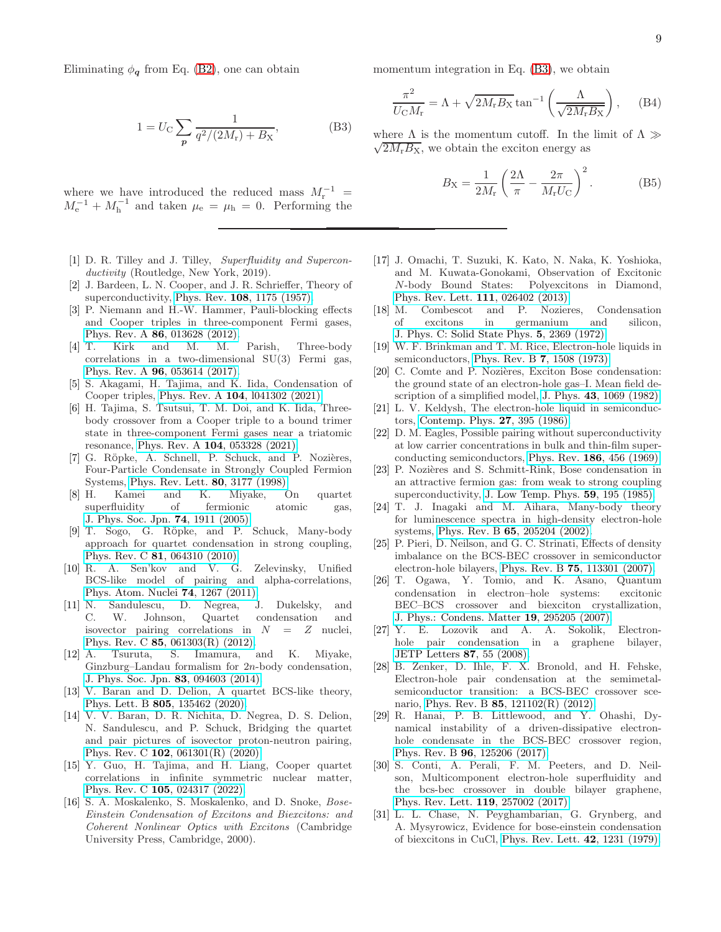Eliminating  $\phi_q$  from Eq. [\(B2\)](#page-7-3), one can obtain

$$
1 = U_{\rm C} \sum_{p} \frac{1}{q^2/(2M_{\rm r}) + B_{\rm X}},
$$
 (B3)

where we have introduced the reduced mass  $M_{\rm r}^{-1}$  =  $M_{\rm e}^{-1} + M_{\rm h}^{-1}$  and taken  $\mu_{\rm e} = \mu_{\rm h} = 0$ . Performing the

- <span id="page-8-0"></span>[1] D. R. Tilley and J. Tilley, Superfluidity and Superconductivity (Routledge, New York, 2019).
- <span id="page-8-1"></span>[2] J. Bardeen, L. N. Cooper, and J. R. Schrieffer, Theory of superconductivity, Phys. Rev. 108[, 1175 \(1957\).](https://doi.org/10.1103/physrev.108.1175)
- <span id="page-8-2"></span>[3] P. Niemann and H.-W. Hammer, Pauli-blocking effects and Cooper triples in three-component Fermi gases, Phys. Rev. A 86[, 013628 \(2012\).](https://doi.org/10.1103/physreva.86.013628)
- [4] T. Kirk and M. M. Parish, Three-body correlations in a two-dimensional SU(3) Fermi gas, Phys. Rev. A 96[, 053614 \(2017\).](https://doi.org/10.1103/physreva.96.053614)
- [5] S. Akagami, H. Tajima, and K. Iida, Condensation of Cooper triples, Phys. Rev. A 104[, l041302 \(2021\).](https://doi.org/10.1103/physreva.104.l041302)
- <span id="page-8-3"></span>[6] H. Tajima, S. Tsutsui, T. M. Doi, and K. Iida, Threebody crossover from a Cooper triple to a bound trimer state in three-component Fermi gases near a triatomic resonance, Phys. Rev. A 104[, 053328 \(2021\).](https://doi.org/10.1103/physreva.104.053328)
- <span id="page-8-4"></span>[7] G. Röpke, A. Schnell, P. Schuck, and P. Nozières, Four-Particle Condensate in Strongly Coupled Fermion
- Systems, [Phys. Rev. Lett.](https://doi.org/10.1103/physrevlett.80.3177) **80**, 3177 (1998).<br>[8] H. Kamei and K. Miyake, C. Kamei and K. Miyake, On quartet superfluidity of fermionic atomic gas, [J. Phys. Soc. Jpn.](https://doi.org/10.1143/jpsj.74.1911) 74, 1911 (2005).
- <span id="page-8-17"></span>[9] T. Sogo, G. Röpke, and P. Schuck, Many-body approach for quartet condensation in strong coupling, Phys. Rev. C 81[, 064310 \(2010\).](https://doi.org/10.1103/physrevc.81.064310)
- <span id="page-8-13"></span>[10] R. A. Sen'kov and V. G. Zelevinsky, Unified BCS-like model of pairing and alpha-correlations, [Phys. Atom. Nuclei](https://doi.org/10.1134/s1063778811090110) 74, 1267 (2011).
- [11] N. Sandulescu, D. Negrea, J. Dukelsky, and C. W. Johnson, Quartet condensation and isovector pairing correlations in  $N = Z$  nuclei, Phys. Rev. C 85[, 061303\(R\) \(2012\).](https://doi.org/10.1103/physrevc.85.061303)
- [12] A. Tsuruta, S. Imamura, and K. Miyake, Ginzburg–Landau formalism for 2n-body condensation, [J. Phys. Soc. Jpn.](https://doi.org/10.7566/jpsj.83.094603) 83, 094603 (2014).
- <span id="page-8-14"></span>[13] V. Baran and D. Delion, A quartet BCS-like theory, Phys. Lett. B 805[, 135462 \(2020\).](https://doi.org/https://doi.org/10.1016/j.physletb.2020.135462)
- <span id="page-8-16"></span>[14] V. V. Baran, D. R. Nichita, D. Negrea, D. S. Delion, N. Sandulescu, and P. Schuck, Bridging the quartet and pair pictures of isovector proton-neutron pairing, Phys. Rev. C 102[, 061301\(R\) \(2020\).](https://doi.org/10.1103/physrevc.102.061301)
- <span id="page-8-5"></span>[15] Y. Guo, H. Tajima, and H. Liang, Cooper quartet correlations in infinite symmetric nuclear matter, Phys. Rev. C 105[, 024317 \(2022\).](https://doi.org/10.1103/PhysRevC.105.024317)
- <span id="page-8-6"></span>[16] S. A. Moskalenko, S. Moskalenko, and D. Snoke, Bose-Einstein Condensation of Excitons and Biexcitons: and Coherent Nonlinear Optics with Excitons (Cambridge University Press, Cambridge, 2000).

momentum integration in Eq. [\(B3\)](#page-8-18), we obtain

$$
\frac{\pi^2}{U_{\rm C}M_{\rm r}} = \Lambda + \sqrt{2M_{\rm r}B_{\rm X}}\tan^{-1}\left(\frac{\Lambda}{\sqrt{2M_{\rm r}B_{\rm X}}}\right),\quad\text{(B4)}
$$

<span id="page-8-18"></span>where  $\Lambda$  is the momentum cutoff. In the limit of  $\Lambda \gg$  $\sqrt{2M_{\rm r}B_{\rm X}}$ , we obtain the exciton energy as

$$
B_{\rm X} = \frac{1}{2M_{\rm r}} \left( \frac{2\Lambda}{\pi} - \frac{2\pi}{M_{\rm r}U_{\rm C}} \right)^2.
$$
 (B5)

- <span id="page-8-7"></span>[17] J. Omachi, T. Suzuki, K. Kato, N. Naka, K. Yoshioka, and M. Kuwata-Gonokami, Observation of Excitonic N-body Bound States: Polyexcitons in Diamond, [Phys. Rev. Lett.](https://doi.org/10.1103/physrevlett.111.026402) 111, 026402 (2013).
- <span id="page-8-8"></span>[18] M. Combescot and P. Nozieres, Condensation of excitons in germanium and silicon, [J. Phys. C: Solid State Phys.](https://doi.org/10.1088/0022-3719/5/17/014) 5, 2369 (1972).
- [19] W. F. Brinkman and T. M. Rice, Electron-hole liquids in semiconductors, Phys. Rev. B 7[, 1508 \(1973\).](https://doi.org/10.1103/physrevb.7.1508)
- [20] C. Comte and P. Nozières, Exciton Bose condensation: the ground state of an electron-hole gas–I. Mean field description of a simplified model, J. Phys. 43[, 1069 \(1982\).](https://doi.org/10.1051/jphys:019820043070106900)
- <span id="page-8-9"></span>[21] L. V. Keldysh, The electron-hole liquid in semiconductors, [Contemp. Phys.](https://doi.org/10.1080/00107518608211022) 27, 395 (1986).
- <span id="page-8-10"></span>[22] D. M. Eagles, Possible pairing without superconductivity at low carrier concentrations in bulk and thin-film superconducting semiconductors, Phys. Rev. 186[, 456 \(1969\).](https://doi.org/10.1103/PhysRev.186.456)
- [23] P. Nozières and S. Schmitt-Rink, Bose condensation in an attractive fermion gas: from weak to strong coupling superconductivity, [J. Low Temp. Phys.](https://doi.org/10.1007/bf00683774) 59, 195 (1985).
- [24] T. J. Inagaki and M. Aihara, Many-body theory for luminescence spectra in high-density electron-hole systems, Phys. Rev. B 65[, 205204 \(2002\).](https://doi.org/10.1103/PhysRevB.65.205204)
- [25] P. Pieri, D. Neilson, and G. C. Strinati, Effects of density imbalance on the BCS-BEC crossover in semiconductor electron-hole bilayers, Phys. Rev. B 75[, 113301 \(2007\).](https://doi.org/10.1103/PhysRevB.75.113301)
- [26] T. Ogawa, Y. Tomio, and K. Asano, Quantum condensation in electron–hole systems: excitonic BEC–BCS crossover and biexciton crystallization, [J. Phys.: Condens. Matter](https://doi.org/10.1088/0953-8984/19/29/295205) 19, 295205 (2007).
- [27] Y. E. Lozovik and A. A. Sokolik, Electronhole pair condensation in a graphene bilayer, [JETP Letters](https://doi.org/10.1134/s002136400801013x) 87, 55 (2008).
- [28] B. Zenker, D. Ihle, F. X. Bronold, and H. Fehske, Electron-hole pair condensation at the semimetalsemiconductor transition: a BCS-BEC crossover scenario, Phys. Rev. B 85[, 121102\(R\) \(2012\).](https://doi.org/10.1103/PhysRevB.85.121102)
- <span id="page-8-15"></span>[29] R. Hanai, P. B. Littlewood, and Y. Ohashi, Dynamical instability of a driven-dissipative electronhole condensate in the BCS-BEC crossover region, Phys. Rev. B 96[, 125206 \(2017\).](https://doi.org/10.1103/physrevb.96.125206)
- <span id="page-8-11"></span>[30] S. Conti, A. Perali, F. M. Peeters, and D. Neilson, Multicomponent electron-hole superfluidity and the bcs-bec crossover in double bilayer graphene, [Phys. Rev. Lett.](https://doi.org/10.1103/PhysRevLett.119.257002) 119, 257002 (2017).
- <span id="page-8-12"></span>[31] L. L. Chase, N. Peyghambarian, G. Grynberg, and A. Mysyrowicz, Evidence for bose-einstein condensation of biexcitons in CuCl, [Phys. Rev. Lett.](https://doi.org/10.1103/physrevlett.42.1231) 42, 1231 (1979).